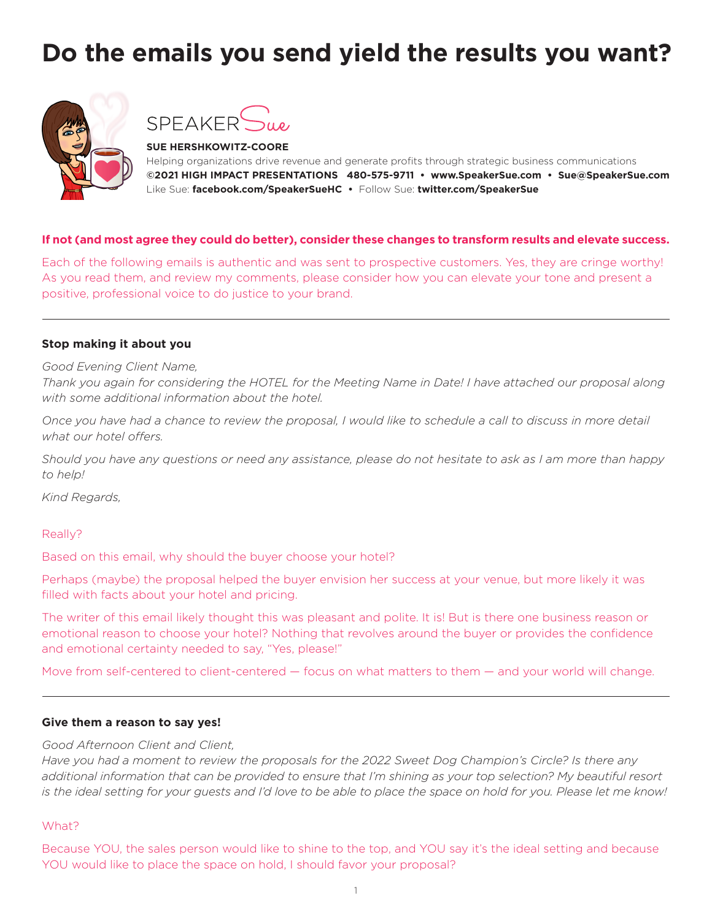# **Do the emails you send yield the results you want?**





**SUE HERSHKOWITZ-COORE** Helping organizations drive revenue and generate profits through strategic business communications **©2021 HIGH IMPACT PRESENTATIONS 480-575-9711 • www.SpeakerSue.com • Sue@SpeakerSue.com** Like Sue: **facebook.com/SpeakerSueHC •** Follow Sue: **twitter.com/SpeakerSue**

## **If not (and most agree they could do better), consider these changes to transform results and elevate success.**

Each of the following emails is authentic and was sent to prospective customers. Yes, they are cringe worthy! As you read them, and review my comments, please consider how you can elevate your tone and present a positive, professional voice to do justice to your brand.

## **Stop making it about you**

*Good Evening Client Name,*

*Thank you again for considering the HOTEL for the Meeting Name in Date! I have attached our proposal along with some additional information about the hotel.*

*Once you have had a chance to review the proposal, I would like to schedule a call to discuss in more detail what our hotel offers.*

*Should you have any questions or need any assistance, please do not hesitate to ask as I am more than happy to help!*

*Kind Regards,*

Really?

Based on this email, why should the buyer choose your hotel?

Perhaps (maybe) the proposal helped the buyer envision her success at your venue, but more likely it was filled with facts about your hotel and pricing.

The writer of this email likely thought this was pleasant and polite. It is! But is there one business reason or emotional reason to choose your hotel? Nothing that revolves around the buyer or provides the confidence and emotional certainty needed to say, "Yes, please!"

Move from self-centered to client-centered — focus on what matters to them — and your world will change.

### **Give them a reason to say yes!**

### *Good Afternoon Client and Client,*

*Have you had a moment to review the proposals for the 2022 Sweet Dog Champion's Circle? Is there any additional information that can be provided to ensure that I'm shining as your top selection? My beautiful resort is the ideal setting for your guests and I'd love to be able to place the space on hold for you. Please let me know!*

### What?

Because YOU, the sales person would like to shine to the top, and YOU say it's the ideal setting and because YOU would like to place the space on hold, I should favor your proposal?